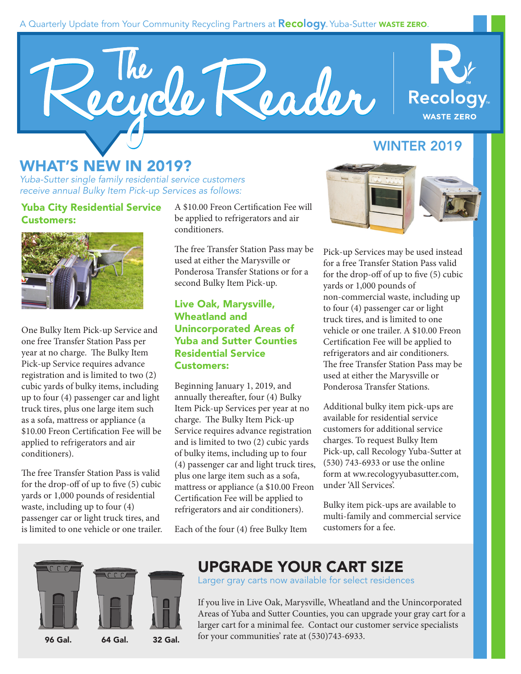#### A Quarterly Update from Your Community Recycling Partners at **Recology**. Yuba-Sutter **WASTE ZERO.**





## **WINTER 2019**

## **WHAT'S NEW IN 2019?**

Yuba-Sutter single family residential service customers receive annual Bulky Item Pick-up Services as follows:

**Yuba City Residential Service Customers:** 



One Bulky Item Pick-up Service and one free Transfer Station Pass per year at no charge. The Bulky Item Pick-up Service requires advance registration and is limited to two (2) cubic yards of bulky items, including up to four (4) passenger car and light truck tires, plus one large item such as a sofa, mattress or appliance (a \$10.00 Freon Certification Fee will be applied to refrigerators and air conditioners).

The free Transfer Station Pass is valid for the drop-off of up to five (5) cubic yards or 1,000 pounds of residential waste, including up to four (4) passenger car or light truck tires, and is limited to one vehicle or one trailer. A \$10.00 Freon Certification Fee will be applied to refrigerators and air conditioners.

The free Transfer Station Pass may be used at either the Marysville or Ponderosa Transfer Stations or for a second Bulky Item Pick-up.

#### **Live Oak, Marysville, Wheatland and Unincorporated Areas of Yuba and Sutter Counties Residential Service Customers:**

Beginning January 1, 2019, and annually thereafter, four (4) Bulky Item Pick-up Services per year at no charge. The Bulky Item Pick-up Service requires advance registration and is limited to two (2) cubic yards of bulky items, including up to four (4) passenger car and light truck tires, plus one large item such as a sofa, mattress or appliance (a \$10.00 Freon Certification Fee will be applied to refrigerators and air conditioners).

Each of the four (4) free Bulky Item





Pick-up Services may be used instead for a free Transfer Station Pass valid for the drop-off of up to five (5) cubic yards or 1,000 pounds of non-commercial waste, including up to four (4) passenger car or light truck tires, and is limited to one vehicle or one trailer. A \$10.00 Freon Certification Fee will be applied to refrigerators and air conditioners. The free Transfer Station Pass may be used at either the Marysville or Ponderosa Transfer Stations.

Additional bulky item pick-ups are available for residential service customers for additional service charges. To request Bulky Item Pick-up, call Recology Yuba-Sutter at (530) 743-6933 or use the online form at ww.recologyyubasutter.com, under 'All Services'.

Bulky item pick-ups are available to multi-family and commercial service customers for a fee.



## **UPGRADE YOUR CART SIZE**

Larger gray carts now available for select residences

If you live in Live Oak, Marysville, Wheatland and the Unincorporated Areas of Yuba and Sutter Counties, you can upgrade your gray cart for a larger cart for a minimal fee. Contact our customer service specialists **96 Gal.** 64 Gal. **32 Gal.** for your communities' rate at (530)743-6933.